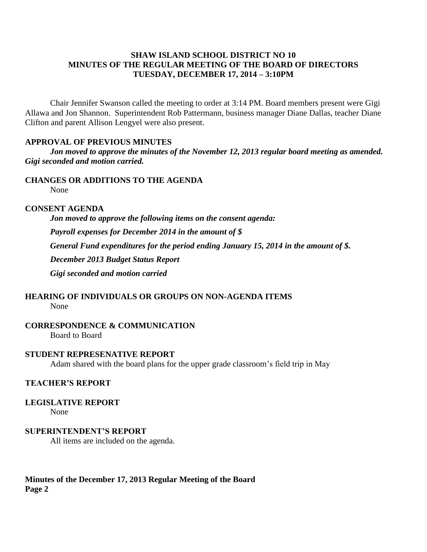# **SHAW ISLAND SCHOOL DISTRICT NO 10 MINUTES OF THE REGULAR MEETING OF THE BOARD OF DIRECTORS TUESDAY, DECEMBER 17, 2014 – 3:10PM**

Chair Jennifer Swanson called the meeting to order at 3:14 PM. Board members present were Gigi Allawa and Jon Shannon. Superintendent Rob Pattermann, business manager Diane Dallas, teacher Diane Clifton and parent Allison Lengyel were also present.

## **APPROVAL OF PREVIOUS MINUTES**

*Jon moved to approve the minutes of the November 12, 2013 regular board meeting as amended. Gigi seconded and motion carried.*

# **CHANGES OR ADDITIONS TO THE AGENDA**

None

# **CONSENT AGENDA**

*Jon moved to approve the following items on the consent agenda: Payroll expenses for December 2014 in the amount of \$ General Fund expenditures for the period ending January 15, 2014 in the amount of \$. December 2013 Budget Status Report Gigi seconded and motion carried*

# **HEARING OF INDIVIDUALS OR GROUPS ON NON-AGENDA ITEMS**

None

**CORRESPONDENCE & COMMUNICATION**

Board to Board

## **STUDENT REPRESENATIVE REPORT**

Adam shared with the board plans for the upper grade classroom's field trip in May

# **TEACHER'S REPORT**

# **LEGISLATIVE REPORT**

None

## **SUPERINTENDENT'S REPORT**

All items are included on the agenda.

# **Minutes of the December 17, 2013 Regular Meeting of the Board Page 2**